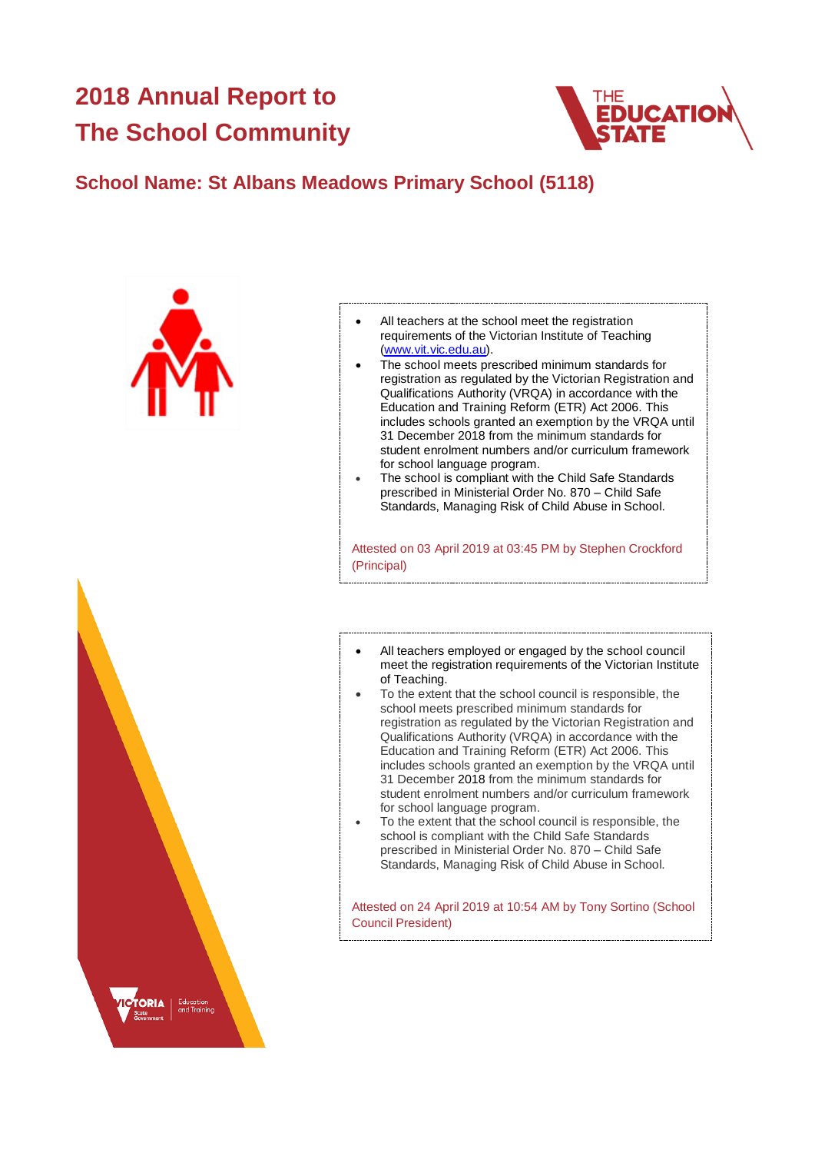# **2018 Annual Report to The School Community**



# **School Name: St Albans Meadows Primary School (5118)**





- The school meets prescribed minimum standards for registration as regulated by the Victorian Registration and Qualifications Authority (VRQA) in accordance with the Education and Training Reform (ETR) Act 2006. This includes schools granted an exemption by the VRQA until 31 December 2018 from the minimum standards for student enrolment numbers and/or curriculum framework for school language program.
- The school is compliant with the Child Safe Standards prescribed in Ministerial Order No. 870 – Child Safe Standards, Managing Risk of Child Abuse in School.

Attested on 03 April 2019 at 03:45 PM by Stephen Crockford (Principal)

- All teachers employed or engaged by the school council meet the registration requirements of the Victorian Institute of Teaching.
- To the extent that the school council is responsible, the school meets prescribed minimum standards for registration as regulated by the Victorian Registration and Qualifications Authority (VRQA) in accordance with the Education and Training Reform (ETR) Act 2006. This includes schools granted an exemption by the VRQA until 31 December 2018 from the minimum standards for student enrolment numbers and/or curriculum framework for school language program.
- To the extent that the school council is responsible, the school is compliant with the Child Safe Standards prescribed in Ministerial Order No. 870 – Child Safe Standards, Managing Risk of Child Abuse in School.

Attested on 24 April 2019 at 10:54 AM by Tony Sortino (School Council President)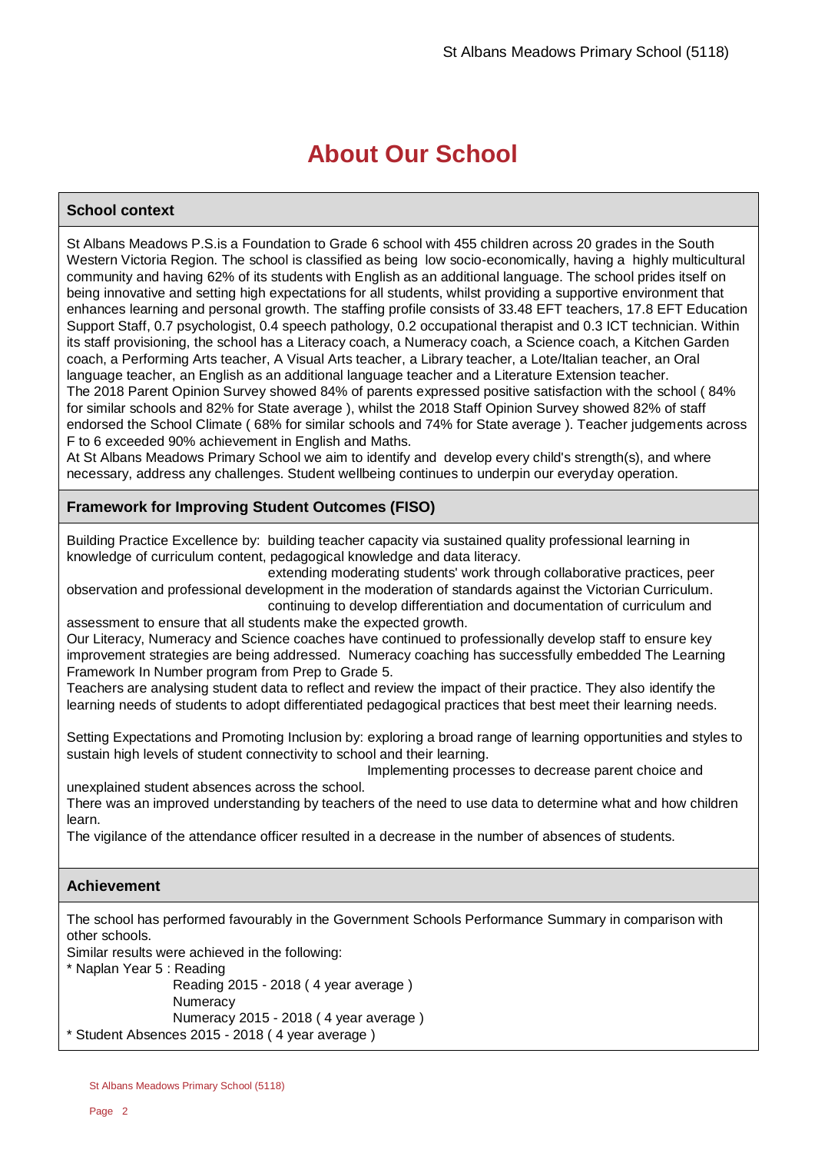# **About Our School**

# **School context**

St Albans Meadows P.S.is a Foundation to Grade 6 school with 455 children across 20 grades in the South Western Victoria Region. The school is classified as being low socio-economically, having a highly multicultural community and having 62% of its students with English as an additional language. The school prides itself on being innovative and setting high expectations for all students, whilst providing a supportive environment that enhances learning and personal growth. The staffing profile consists of 33.48 EFT teachers, 17.8 EFT Education Support Staff, 0.7 psychologist, 0.4 speech pathology, 0.2 occupational therapist and 0.3 ICT technician. Within its staff provisioning, the school has a Literacy coach, a Numeracy coach, a Science coach, a Kitchen Garden coach, a Performing Arts teacher, A Visual Arts teacher, a Library teacher, a Lote/Italian teacher, an Oral language teacher, an English as an additional language teacher and a Literature Extension teacher. The 2018 Parent Opinion Survey showed 84% of parents expressed positive satisfaction with the school ( 84% for similar schools and 82% for State average ), whilst the 2018 Staff Opinion Survey showed 82% of staff endorsed the School Climate ( 68% for similar schools and 74% for State average ). Teacher judgements across F to 6 exceeded 90% achievement in English and Maths.

At St Albans Meadows Primary School we aim to identify and develop every child's strength(s), and where necessary, address any challenges. Student wellbeing continues to underpin our everyday operation.

# **Framework for Improving Student Outcomes (FISO)**

Building Practice Excellence by: building teacher capacity via sustained quality professional learning in knowledge of curriculum content, pedagogical knowledge and data literacy.

 extending moderating students' work through collaborative practices, peer observation and professional development in the moderation of standards against the Victorian Curriculum.

 continuing to develop differentiation and documentation of curriculum and assessment to ensure that all students make the expected growth.

Our Literacy, Numeracy and Science coaches have continued to professionally develop staff to ensure key improvement strategies are being addressed. Numeracy coaching has successfully embedded The Learning Framework In Number program from Prep to Grade 5.

Teachers are analysing student data to reflect and review the impact of their practice. They also identify the learning needs of students to adopt differentiated pedagogical practices that best meet their learning needs.

Setting Expectations and Promoting Inclusion by: exploring a broad range of learning opportunities and styles to sustain high levels of student connectivity to school and their learning.

Implementing processes to decrease parent choice and

unexplained student absences across the school.

There was an improved understanding by teachers of the need to use data to determine what and how children learn.

The vigilance of the attendance officer resulted in a decrease in the number of absences of students.

## **Achievement**

The school has performed favourably in the Government Schools Performance Summary in comparison with other schools.

Similar results were achieved in the following:

\* Naplan Year 5 : Reading

 Reading 2015 - 2018 ( 4 year average ) **Numeracy** Numeracy 2015 - 2018 ( 4 year average )

\* Student Absences 2015 - 2018 ( 4 year average )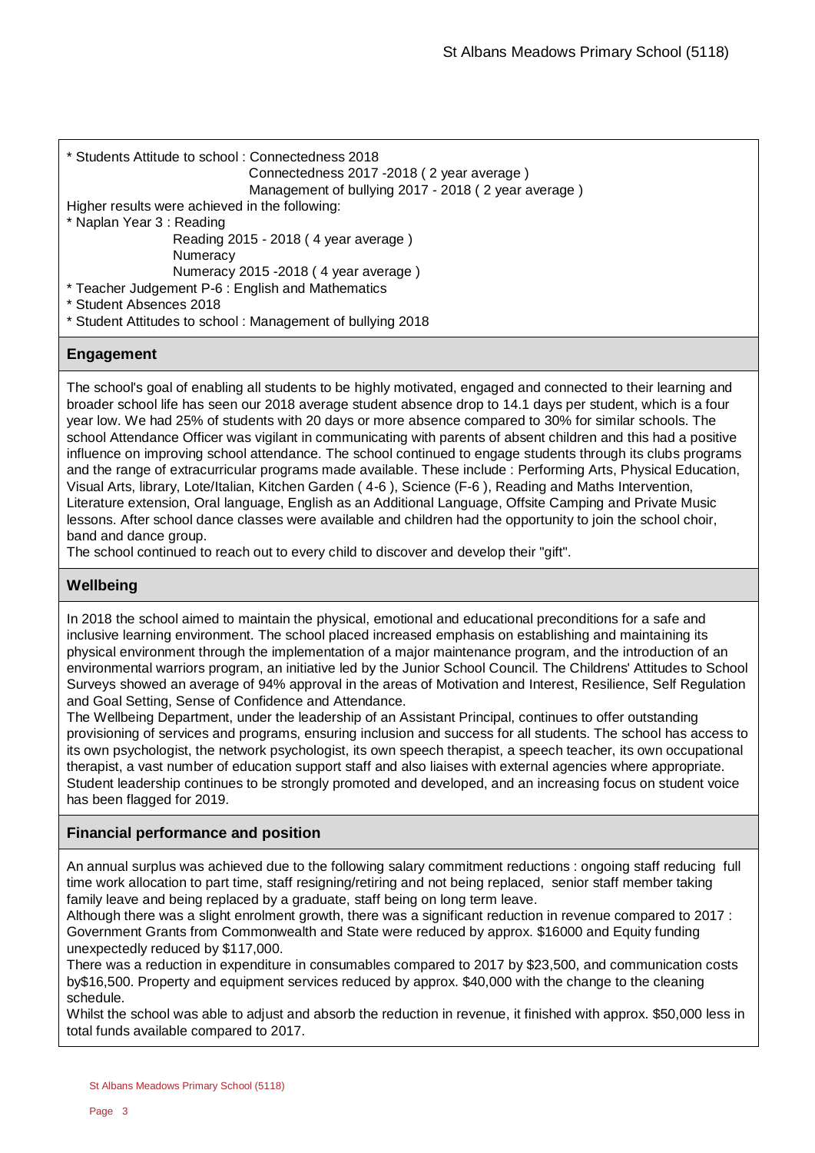```
* Students Attitude to school : Connectedness 2018
```

```
 Connectedness 2017 -2018 ( 2 year average )
```

```
 Management of bullying 2017 - 2018 ( 2 year average )
```
Higher results were achieved in the following:

\* Naplan Year 3 : Reading

Reading 2015 - 2018 ( 4 year average )

**Numeracy** 

Numeracy 2015 -2018 ( 4 year average )

\* Teacher Judgement P-6 : English and Mathematics

\* Student Absences 2018

\* Student Attitudes to school : Management of bullying 2018

# **Engagement**

The school's goal of enabling all students to be highly motivated, engaged and connected to their learning and broader school life has seen our 2018 average student absence drop to 14.1 days per student, which is a four year low. We had 25% of students with 20 days or more absence compared to 30% for similar schools. The school Attendance Officer was vigilant in communicating with parents of absent children and this had a positive influence on improving school attendance. The school continued to engage students through its clubs programs and the range of extracurricular programs made available. These include : Performing Arts, Physical Education, Visual Arts, library, Lote/Italian, Kitchen Garden ( 4-6 ), Science (F-6 ), Reading and Maths Intervention, Literature extension, Oral language, English as an Additional Language, Offsite Camping and Private Music lessons. After school dance classes were available and children had the opportunity to join the school choir, band and dance group.

The school continued to reach out to every child to discover and develop their "gift".

# **Wellbeing**

In 2018 the school aimed to maintain the physical, emotional and educational preconditions for a safe and inclusive learning environment. The school placed increased emphasis on establishing and maintaining its physical environment through the implementation of a major maintenance program, and the introduction of an environmental warriors program, an initiative led by the Junior School Council. The Childrens' Attitudes to School Surveys showed an average of 94% approval in the areas of Motivation and Interest, Resilience, Self Regulation and Goal Setting, Sense of Confidence and Attendance.

The Wellbeing Department, under the leadership of an Assistant Principal, continues to offer outstanding provisioning of services and programs, ensuring inclusion and success for all students. The school has access to its own psychologist, the network psychologist, its own speech therapist, a speech teacher, its own occupational therapist, a vast number of education support staff and also liaises with external agencies where appropriate. Student leadership continues to be strongly promoted and developed, and an increasing focus on student voice has been flagged for 2019.

# **Financial performance and position**

An annual surplus was achieved due to the following salary commitment reductions : ongoing staff reducing full time work allocation to part time, staff resigning/retiring and not being replaced, senior staff member taking family leave and being replaced by a graduate, staff being on long term leave.

Although there was a slight enrolment growth, there was a significant reduction in revenue compared to 2017 : Government Grants from Commonwealth and State were reduced by approx. \$16000 and Equity funding unexpectedly reduced by \$117,000.

There was a reduction in expenditure in consumables compared to 2017 by \$23,500, and communication costs by\$16,500. Property and equipment services reduced by approx. \$40,000 with the change to the cleaning schedule.

Whilst the school was able to adjust and absorb the reduction in revenue, it finished with approx. \$50,000 less in total funds available compared to 2017.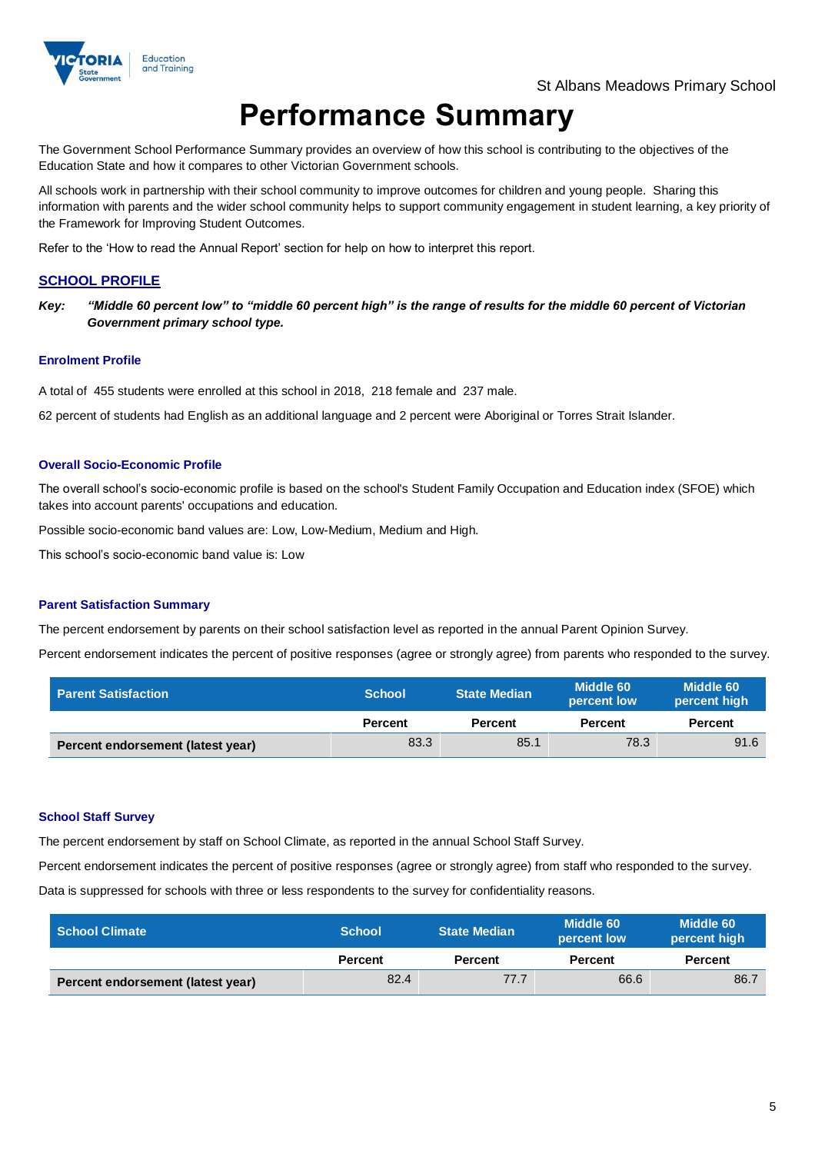

# **Performance Summary**

The Government School Performance Summary provides an overview of how this school is contributing to the objectives of the Education State and how it compares to other Victorian Government schools.

All schools work in partnership with their school community to improve outcomes for children and young people. Sharing this information with parents and the wider school community helps to support community engagement in student learning, a key priority of the Framework for Improving Student Outcomes.

Refer to the 'How to read the Annual Report' section for help on how to interpret this report.

### **SCHOOL PROFILE**

*Key: "Middle 60 percent low" to "middle 60 percent high" is the range of results for the middle 60 percent of Victorian Government primary school type.*

#### **Enrolment Profile**

A total of 455 students were enrolled at this school in 2018, 218 female and 237 male.

62 percent of students had English as an additional language and 2 percent were Aboriginal or Torres Strait Islander.

#### **Overall Socio-Economic Profile**

The overall school's socio-economic profile is based on the school's Student Family Occupation and Education index (SFOE) which takes into account parents' occupations and education.

Possible socio-economic band values are: Low, Low-Medium, Medium and High.

This school's socio-economic band value is: Low

#### **Parent Satisfaction Summary**

The percent endorsement by parents on their school satisfaction level as reported in the annual Parent Opinion Survey.

Percent endorsement indicates the percent of positive responses (agree or strongly agree) from parents who responded to the survey.

| Parent Satisfaction               | <b>School</b>  | <b>State Median</b> | Middle 60<br>percent low | Middle 60<br>percent high |
|-----------------------------------|----------------|---------------------|--------------------------|---------------------------|
|                                   | <b>Percent</b> | <b>Percent</b>      | <b>Percent</b>           | <b>Percent</b>            |
| Percent endorsement (latest year) | 83.3           | 85.1                | 78.3                     | 91.6                      |

#### **School Staff Survey**

The percent endorsement by staff on School Climate, as reported in the annual School Staff Survey.

Percent endorsement indicates the percent of positive responses (agree or strongly agree) from staff who responded to the survey.

Data is suppressed for schools with three or less respondents to the survey for confidentiality reasons.

| l  School Climate <sup>।</sup>    | <b>School</b>  | Middle 60<br><b>State Median</b><br>percent low |                | Middle 60<br>percent high |
|-----------------------------------|----------------|-------------------------------------------------|----------------|---------------------------|
|                                   | <b>Percent</b> | <b>Percent</b>                                  | <b>Percent</b> | <b>Percent</b>            |
| Percent endorsement (latest year) | 82.4           | 77.7                                            | 66.6           | 86.7                      |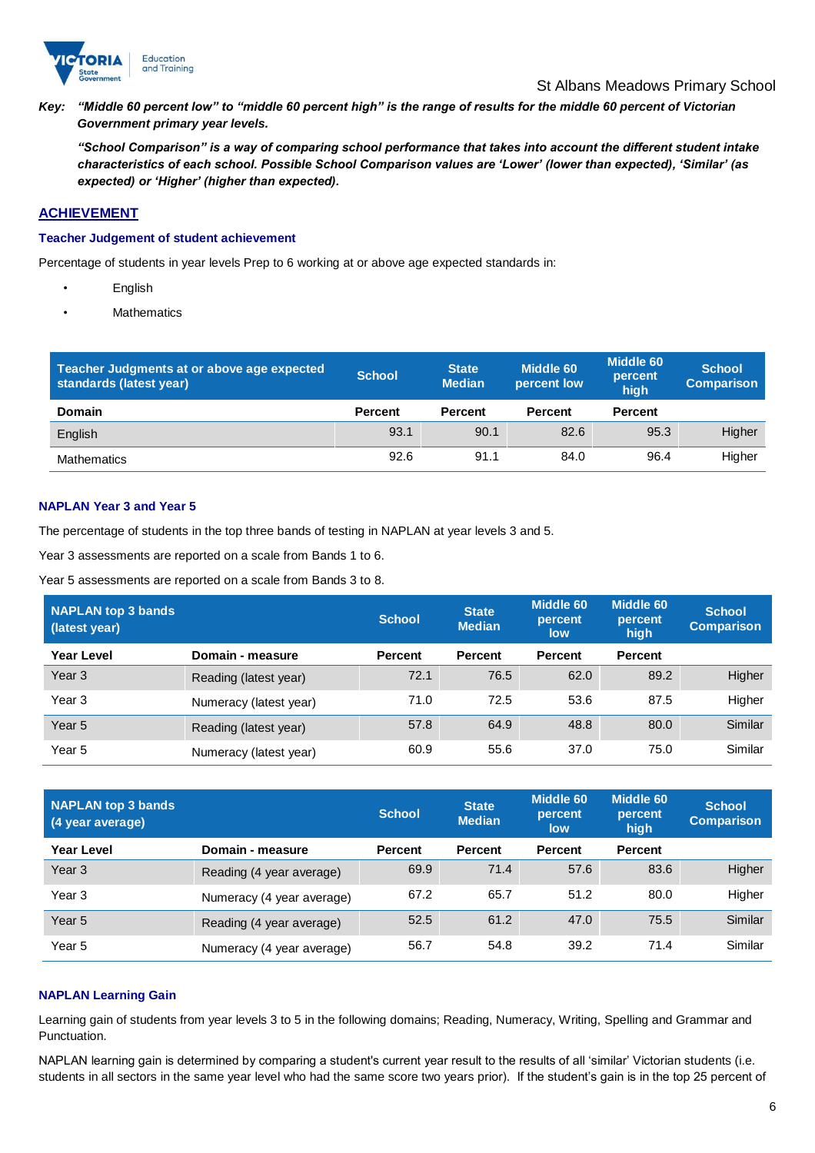

#### St Albans Meadows Primary School

*Key: "Middle 60 percent low" to "middle 60 percent high" is the range of results for the middle 60 percent of Victorian Government primary year levels.*

*"School Comparison" is a way of comparing school performance that takes into account the different student intake characteristics of each school. Possible School Comparison values are 'Lower' (lower than expected), 'Similar' (as expected) or 'Higher' (higher than expected).*

# **ACHIEVEMENT**

#### **Teacher Judgement of student achievement**

Percentage of students in year levels Prep to 6 working at or above age expected standards in:

- English
	- **Mathematics**

| Teacher Judgments at or above age expected<br>standards (latest year) | <b>School</b>  | <b>State</b><br><b>Median</b> | Middle 60<br>percent low | <b>Middle 60</b><br>percent<br>high | <b>School</b><br><b>Comparison</b> |
|-----------------------------------------------------------------------|----------------|-------------------------------|--------------------------|-------------------------------------|------------------------------------|
| <b>Domain</b>                                                         | <b>Percent</b> | <b>Percent</b>                | <b>Percent</b>           | <b>Percent</b>                      |                                    |
| English                                                               | 93.1           | 90.1                          | 82.6                     | 95.3                                | Higher                             |
| <b>Mathematics</b>                                                    | 92.6           | 91.1                          | 84.0                     | 96.4                                | Higher                             |

# **NAPLAN Year 3 and Year 5**

The percentage of students in the top three bands of testing in NAPLAN at year levels 3 and 5.

Year 3 assessments are reported on a scale from Bands 1 to 6.

Year 5 assessments are reported on a scale from Bands 3 to 8.

| NAPLAN top 3 bands<br>(latest year) |                        | <b>School</b>  | <b>State</b><br><b>Median</b> | Middle 60<br>percent<br>low | <b>Middle 60</b><br>percent<br>high | <b>School</b><br><b>Comparison</b> |
|-------------------------------------|------------------------|----------------|-------------------------------|-----------------------------|-------------------------------------|------------------------------------|
| Year Level                          | Domain - measure       | <b>Percent</b> | <b>Percent</b>                | <b>Percent</b>              | <b>Percent</b>                      |                                    |
| Year <sub>3</sub>                   | Reading (latest year)  | 72.1           | 76.5                          | 62.0                        | 89.2                                | Higher                             |
| Year 3                              | Numeracy (latest year) | 71.0           | 72.5                          | 53.6                        | 87.5                                | Higher                             |
| Year <sub>5</sub>                   | Reading (latest year)  | 57.8           | 64.9                          | 48.8                        | 80.0                                | Similar                            |
| Year 5                              | Numeracy (latest year) | 60.9           | 55.6                          | 37.0                        | 75.0                                | Similar                            |

| <b>NAPLAN top 3 bands</b><br>(4 year average) |                           | <b>School</b>  | <b>State</b><br><b>Median</b> | Middle 60<br>percent<br>low | Middle 60<br>percent<br>high | <b>School</b><br><b>Comparison</b> |
|-----------------------------------------------|---------------------------|----------------|-------------------------------|-----------------------------|------------------------------|------------------------------------|
| <b>Year Level</b>                             | Domain - measure          | <b>Percent</b> | <b>Percent</b>                | <b>Percent</b>              | <b>Percent</b>               |                                    |
| Year <sub>3</sub>                             | Reading (4 year average)  | 69.9           | 71.4                          | 57.6                        | 83.6                         | Higher                             |
| Year 3                                        | Numeracy (4 year average) | 67.2           | 65.7                          | 51.2                        | 80.0                         | Higher                             |
| Year <sub>5</sub>                             | Reading (4 year average)  | 52.5           | 61.2                          | 47.0                        | 75.5                         | Similar                            |
| Year 5                                        | Numeracy (4 year average) | 56.7           | 54.8                          | 39.2                        | 71.4                         | Similar                            |

#### **NAPLAN Learning Gain**

Learning gain of students from year levels 3 to 5 in the following domains; Reading, Numeracy, Writing, Spelling and Grammar and Punctuation.

NAPLAN learning gain is determined by comparing a student's current year result to the results of all 'similar' Victorian students (i.e. students in all sectors in the same year level who had the same score two years prior). If the student's gain is in the top 25 percent of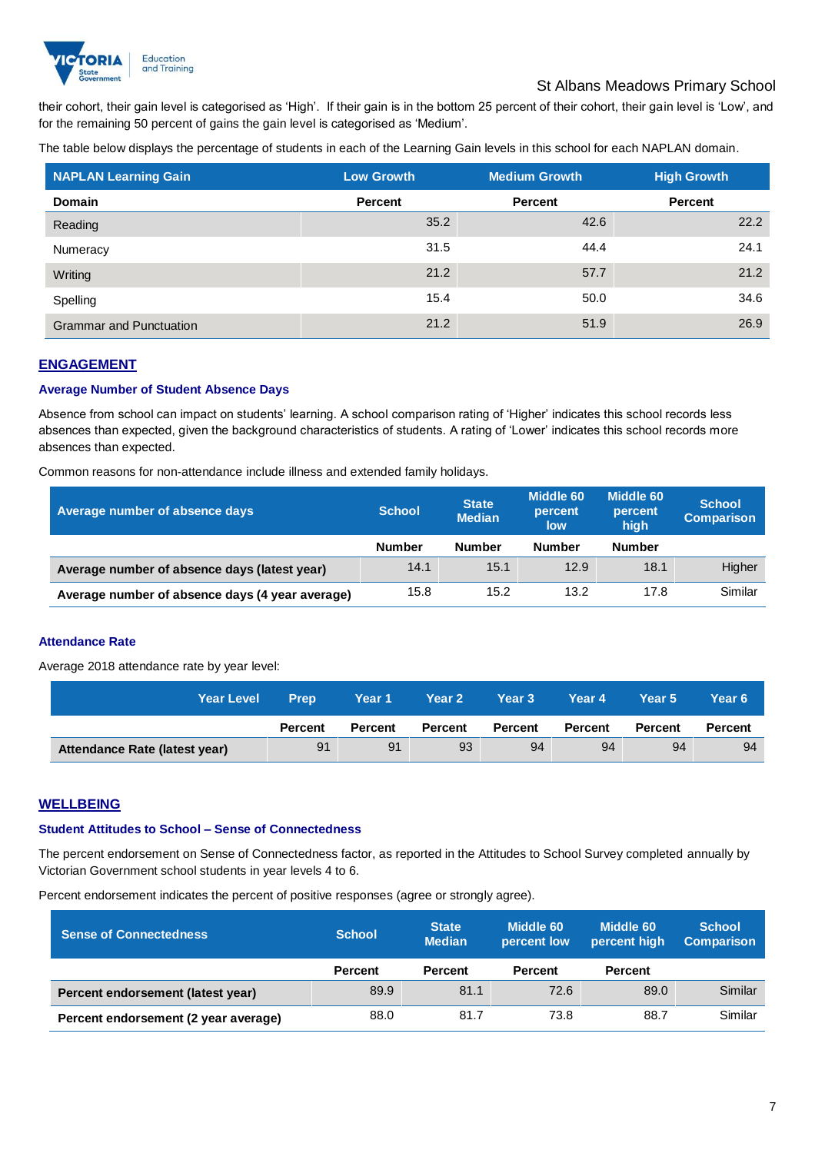

# St Albans Meadows Primary School

their cohort, their gain level is categorised as 'High'. If their gain is in the bottom 25 percent of their cohort, their gain level is 'Low', and for the remaining 50 percent of gains the gain level is categorised as 'Medium'.

The table below displays the percentage of students in each of the Learning Gain levels in this school for each NAPLAN domain.

| <b>NAPLAN Learning Gain</b>    | <b>Low Growth</b> | <b>Medium Growth</b> | <b>High Growth</b> |
|--------------------------------|-------------------|----------------------|--------------------|
| <b>Domain</b>                  | Percent           | Percent              | <b>Percent</b>     |
| Reading                        | 35.2              | 42.6                 | 22.2               |
| Numeracy                       | 31.5              | 44.4                 | 24.1               |
| Writing                        | 21.2              | 57.7                 | 21.2               |
| Spelling                       | 15.4              | 50.0                 | 34.6               |
| <b>Grammar and Punctuation</b> | 21.2              | 51.9                 | 26.9               |

## **ENGAGEMENT**

#### **Average Number of Student Absence Days**

Absence from school can impact on students' learning. A school comparison rating of 'Higher' indicates this school records less absences than expected, given the background characteristics of students. A rating of 'Lower' indicates this school records more absences than expected.

Common reasons for non-attendance include illness and extended family holidays.

| Average number of absence days                  | <b>School</b> | <b>State</b><br><b>Median</b> | Middle 60<br>percent<br>low | <b>Middle 60</b><br>percent<br>high | <b>School</b><br><b>Comparison</b> |
|-------------------------------------------------|---------------|-------------------------------|-----------------------------|-------------------------------------|------------------------------------|
|                                                 | <b>Number</b> | <b>Number</b>                 | <b>Number</b>               | <b>Number</b>                       |                                    |
| Average number of absence days (latest year)    | 14.1          | 15.1                          | 12.9                        | 18.1                                | Higher                             |
| Average number of absence days (4 year average) | 15.8          | 15.2                          | 13.2                        | 17.8                                | Similar                            |

#### **Attendance Rate**

Average 2018 attendance rate by year level:

| <b>Year Level</b>             | <b>Prep</b>    | Year 1         | <b>Year 2</b>  | Year 3         | Year 4         | Year 5         | Year 6' |
|-------------------------------|----------------|----------------|----------------|----------------|----------------|----------------|---------|
|                               | <b>Percent</b> | <b>Percent</b> | <b>Percent</b> | <b>Percent</b> | <b>Percent</b> | <b>Percent</b> | Percent |
| Attendance Rate (latest year) | 91             | 91             | 93             | 94             | 94             | 94             | 94      |

# **WELLBEING**

#### **Student Attitudes to School – Sense of Connectedness**

The percent endorsement on Sense of Connectedness factor, as reported in the Attitudes to School Survey completed annually by Victorian Government school students in year levels 4 to 6.

Percent endorsement indicates the percent of positive responses (agree or strongly agree).

| <b>Sense of Connectedness</b>        | <b>School</b>  | <b>State</b><br><b>Median</b> | Middle 60<br>percent low | Middle 60<br>percent high | <b>School</b><br><b>Comparison</b> |
|--------------------------------------|----------------|-------------------------------|--------------------------|---------------------------|------------------------------------|
|                                      | <b>Percent</b> | <b>Percent</b>                | <b>Percent</b>           | <b>Percent</b>            |                                    |
| Percent endorsement (latest year)    | 89.9           | 81.1                          | 72.6                     | 89.0                      | Similar                            |
| Percent endorsement (2 year average) | 88.0           | 81.7                          | 73.8                     | 88.7                      | Similar                            |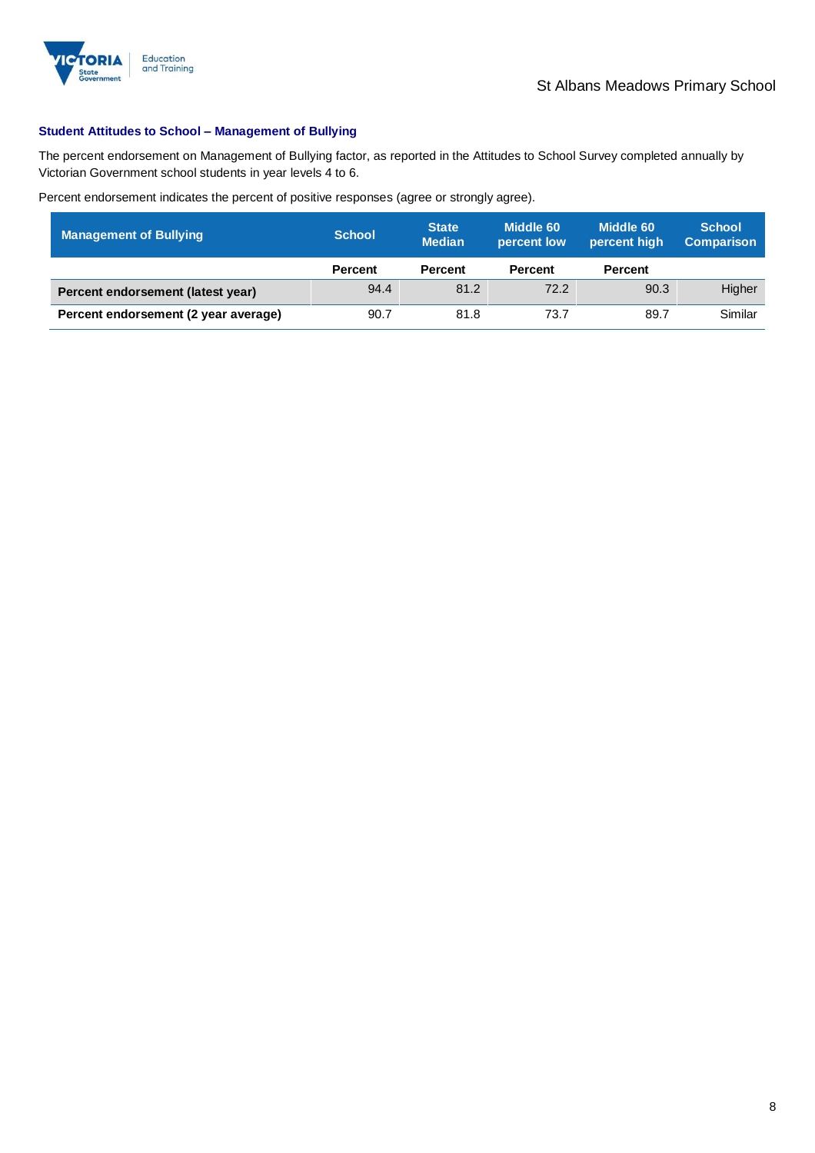

## **Student Attitudes to School – Management of Bullying**

The percent endorsement on Management of Bullying factor, as reported in the Attitudes to School Survey completed annually by Victorian Government school students in year levels 4 to 6.

Percent endorsement indicates the percent of positive responses (agree or strongly agree).

| <b>Management of Bullying</b>        | <b>School</b>  | <b>State</b><br><b>Median</b> | Middle 60<br>percent low | Middle 60<br>percent high | <b>School</b><br><b>Comparison</b> |
|--------------------------------------|----------------|-------------------------------|--------------------------|---------------------------|------------------------------------|
|                                      | <b>Percent</b> | <b>Percent</b>                | <b>Percent</b>           | <b>Percent</b>            |                                    |
| Percent endorsement (latest year)    | 94.4           | 81.2                          | 72.2                     | 90.3                      | Higher                             |
| Percent endorsement (2 year average) | 90.7           | 81.8                          | 73.7                     | 89.7                      | Similar                            |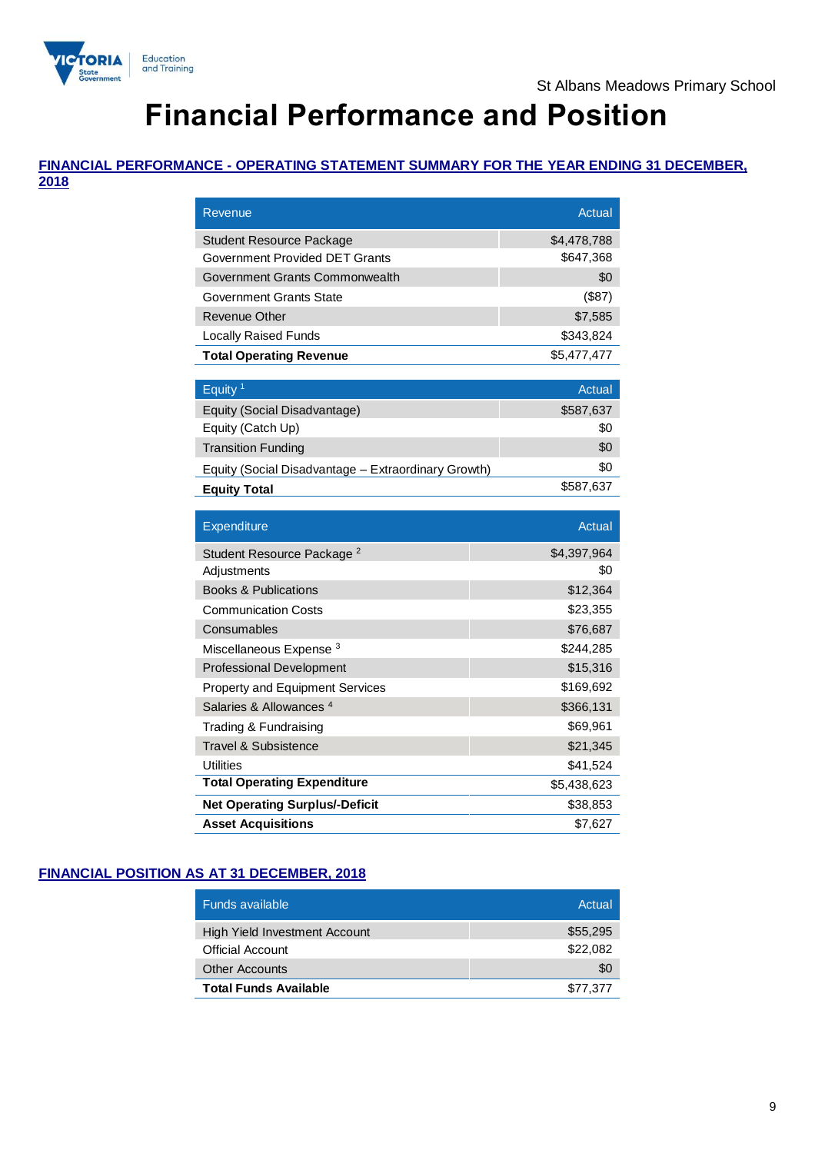

# **Financial Performance and Position**

# **FINANCIAL PERFORMANCE - OPERATING STATEMENT SUMMARY FOR THE YEAR ENDING 31 DECEMBER,**

**2018**

| Revenue                                             | Actual      |
|-----------------------------------------------------|-------------|
| <b>Student Resource Package</b>                     | \$4,478,788 |
| Government Provided DET Grants                      | \$647,368   |
| Government Grants Commonwealth                      | \$0         |
| Government Grants State                             | (\$87)      |
| Revenue Other                                       | \$7,585     |
| <b>Locally Raised Funds</b>                         | \$343,824   |
| <b>Total Operating Revenue</b>                      | \$5,477,477 |
|                                                     |             |
| Equity <sup>1</sup>                                 | Actual      |
| Equity (Social Disadvantage)                        | \$587,637   |
| Equity (Catch Up)                                   | \$0         |
| <b>Transition Funding</b>                           | \$0         |
| Equity (Social Disadvantage – Extraordinary Growth) | \$0         |
| <b>Equity Total</b>                                 | \$587,637   |
|                                                     |             |
|                                                     |             |
| Expenditure                                         | Actual      |
| Student Resource Package <sup>2</sup>               | \$4,397,964 |
| Adjustments                                         | \$0         |
| <b>Books &amp; Publications</b>                     | \$12,364    |
| <b>Communication Costs</b>                          | \$23,355    |
| Consumables                                         | \$76,687    |
| Miscellaneous Expense <sup>3</sup>                  | \$244,285   |
| <b>Professional Development</b>                     | \$15,316    |
| <b>Property and Equipment Services</b>              | \$169,692   |
| Salaries & Allowances <sup>4</sup>                  | \$366,131   |
| Trading & Fundraising                               | \$69,961    |
| <b>Travel &amp; Subsistence</b>                     | \$21,345    |
| <b>Utilities</b>                                    | \$41,524    |
| <b>Total Operating Expenditure</b>                  | \$5,438,623 |
| <b>Net Operating Surplus/-Deficit</b>               | \$38,853    |

# **FINANCIAL POSITION AS AT 31 DECEMBER, 2018**

| <b>Funds available</b>               | Actual   |
|--------------------------------------|----------|
| <b>High Yield Investment Account</b> | \$55,295 |
| <b>Official Account</b>              | \$22.082 |
| <b>Other Accounts</b>                | \$0      |
| <b>Total Funds Available</b>         | \$77.377 |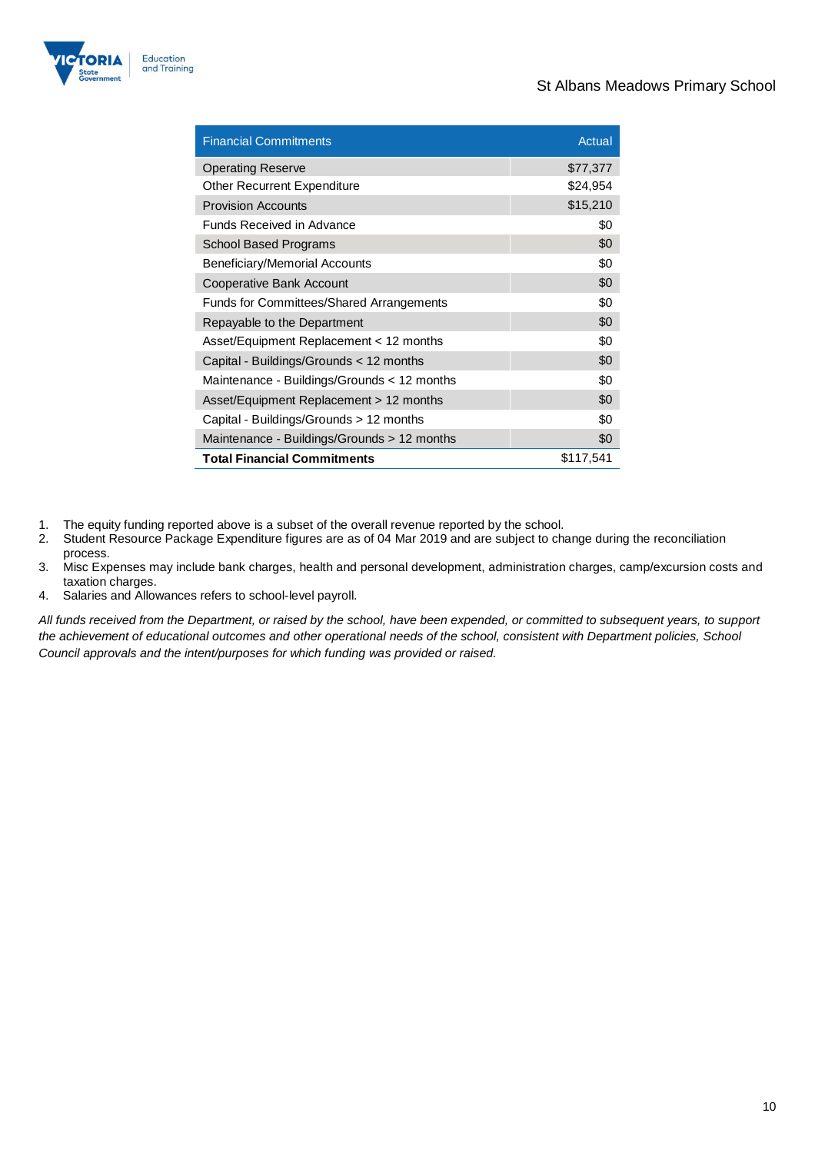

| <b>Financial Commitments</b>                    | Actual    |
|-------------------------------------------------|-----------|
| <b>Operating Reserve</b>                        | \$77,377  |
| <b>Other Recurrent Expenditure</b>              | \$24,954  |
| <b>Provision Accounts</b>                       | \$15,210  |
| <b>Funds Received in Advance</b>                | \$0       |
| <b>School Based Programs</b>                    | \$0       |
| Beneficiary/Memorial Accounts                   | \$0       |
| Cooperative Bank Account                        | \$0       |
| <b>Funds for Committees/Shared Arrangements</b> | \$0       |
| Repayable to the Department                     | \$0       |
| Asset/Equipment Replacement < 12 months         | \$0       |
| Capital - Buildings/Grounds < 12 months         | \$0       |
| Maintenance - Buildings/Grounds < 12 months     | \$0       |
| Asset/Equipment Replacement > 12 months         | \$0       |
| Capital - Buildings/Grounds > 12 months         | \$0       |
| Maintenance - Buildings/Grounds > 12 months     | \$0       |
| <b>Total Financial Commitments</b>              | \$117,541 |

- 1. The equity funding reported above is a subset of the overall revenue reported by the school.
- 2. Student Resource Package Expenditure figures are as of 04 Mar 2019 and are subject to change during the reconciliation process.
- 3. Misc Expenses may include bank charges, health and personal development, administration charges, camp/excursion costs and taxation charges.
- 4. Salaries and Allowances refers to school-level payroll.

*All funds received from the Department, or raised by the school, have been expended, or committed to subsequent years, to support the achievement of educational outcomes and other operational needs of the school, consistent with Department policies, School Council approvals and the intent/purposes for which funding was provided or raised.*